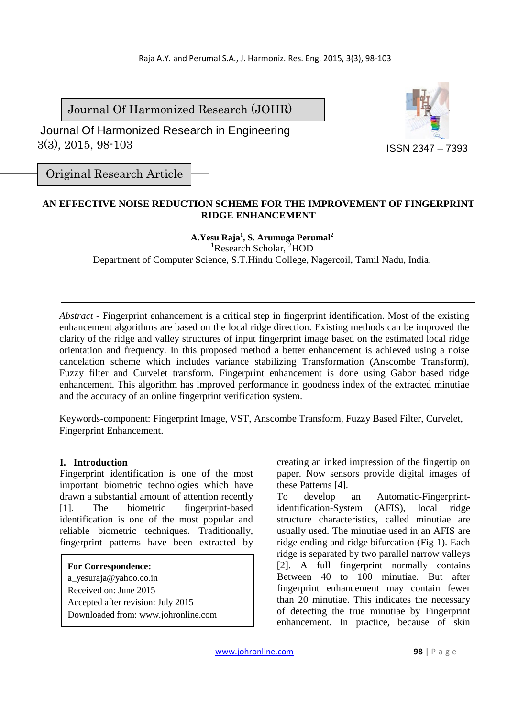Journal Of Harmonized Research (JOHR)

 3(3), 2015, 98-103 Journal Of Harmonized Research in Engineering



Original Research Article

# **AN EFFECTIVE NOISE REDUCTION SCHEME FOR THE IMPROVEMENT OF FINGERPRINT RIDGE ENHANCEMENT**

#### **A.Yesu Raja<sup>1</sup> , S. Arumuga Perumal<sup>2</sup>**

<sup>1</sup>Research Scholar, <sup>2</sup>HOD

Department of Computer Science, S.T.Hindu College, Nagercoil, Tamil Nadu, India.

*Abstract -* Fingerprint enhancement is a critical step in fingerprint identification. Most of the existing enhancement algorithms are based on the local ridge direction. Existing methods can be improved the clarity of the ridge and valley structures of input fingerprint image based on the estimated local ridge orientation and frequency. In this proposed method a better enhancement is achieved using a noise cancelation scheme which includes variance stabilizing Transformation (Anscombe Transform), Fuzzy filter and Curvelet transform. Fingerprint enhancement is done using Gabor based ridge enhancement. This algorithm has improved performance in goodness index of the extracted minutiae and the accuracy of an online fingerprint verification system.

Keywords-component: Fingerprint Image, VST, Anscombe Transform, Fuzzy Based Filter, Curvelet, Fingerprint Enhancement.

# **I. Introduction**

Fingerprint identification is one of the most important biometric technologies which have drawn a substantial amount of attention recently [1]. The biometric fingerprint-based identification is one of the most popular and reliable biometric techniques. Traditionally, fingerprint patterns have been extracted by

**For Correspondence:**  a\_vesuraja@yahoo.co.in Received on: June 2015 Accepted after revision: July 2015 Downloaded from: www.johronline.com creating an inked impression of the fingertip on paper. Now sensors provide digital images of these Patterns [4].

To develop an Automatic-Fingerprintidentification-System (AFIS), local ridge structure characteristics, called minutiae are usually used. The minutiae used in an AFIS are ridge ending and ridge bifurcation (Fig 1). Each ridge is separated by two parallel narrow valleys [2]. A full fingerprint normally contains Between 40 to 100 minutiae. But after fingerprint enhancement may contain fewer than 20 minutiae. This indicates the necessary of detecting the true minutiae by Fingerprint enhancement. In practice, because of skin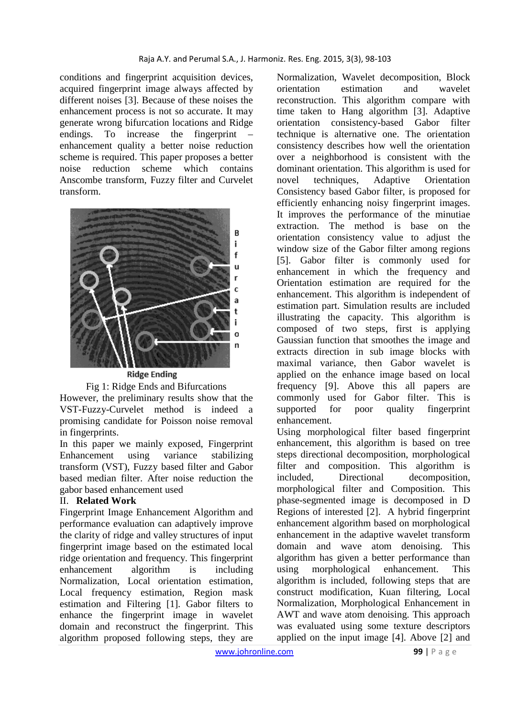conditions and fingerprint acquisition devices, acquired fingerprint image always affected by different noises [3]. Because of these noises the enhancement process is not so accurate. It may generate wrong bifurcation locations and Ridge endings. To increase the fingerprint enhancement quality a better noise reduction scheme is required. This paper proposes a better noise reduction scheme which contains Anscombe transform, Fuzzy filter and Curvelet transform.



**Ridge Ending** 

Fig 1: Ridge Ends and Bifurcations However, the preliminary results show that the VST-Fuzzy-Curvelet method is indeed a promising candidate for Poisson noise removal in fingerprints.

In this paper we mainly exposed, Fingerprint Enhancement using variance stabilizing transform (VST), Fuzzy based filter and Gabor based median filter. After noise reduction the gabor based enhancement used

# II. **Related Work**

Fingerprint Image Enhancement Algorithm and performance evaluation can adaptively improve the clarity of ridge and valley structures of input fingerprint image based on the estimated local ridge orientation and frequency. This fingerprint enhancement algorithm is including Normalization, Local orientation estimation, Local frequency estimation, Region mask estimation and Filtering [1]. Gabor filters to enhance the fingerprint image in wavelet domain and reconstruct the fingerprint. This algorithm proposed following steps, they are

Normalization, Wavelet decomposition, Block orientation estimation and wavelet reconstruction. This algorithm compare with time taken to Hang algorithm [3]. Adaptive orientation consistency-based Gabor filter technique is alternative one. The orientation consistency describes how well the orientation over a neighborhood is consistent with the dominant orientation. This algorithm is used for novel techniques, Adaptive Orientation Consistency based Gabor filter, is proposed for efficiently enhancing noisy fingerprint images. It improves the performance of the minutiae extraction. The method is base on the orientation consistency value to adjust the window size of the Gabor filter among regions [5]. Gabor filter is commonly used for enhancement in which the frequency and Orientation estimation are required for the enhancement. This algorithm is independent of estimation part. Simulation results are included illustrating the capacity. This algorithm is composed of two steps, first is applying Gaussian function that smoothes the image and extracts direction in sub image blocks with maximal variance, then Gabor wavelet is applied on the enhance image based on local frequency [9]. Above this all papers are commonly used for Gabor filter. This is supported for poor quality fingerprint enhancement.

Using morphological filter based fingerprint enhancement, this algorithm is based on tree steps directional decomposition, morphological filter and composition. This algorithm is included, Directional decomposition, morphological filter and Composition. This phase-segmented image is decomposed in D Regions of interested [2]. A hybrid fingerprint enhancement algorithm based on morphological enhancement in the adaptive wavelet transform domain and wave atom denoising. This algorithm has given a better performance than using morphological enhancement. This algorithm is included, following steps that are construct modification, Kuan filtering, Local Normalization, Morphological Enhancement in AWT and wave atom denoising. This approach was evaluated using some texture descriptors applied on the input image [4]. Above [2] and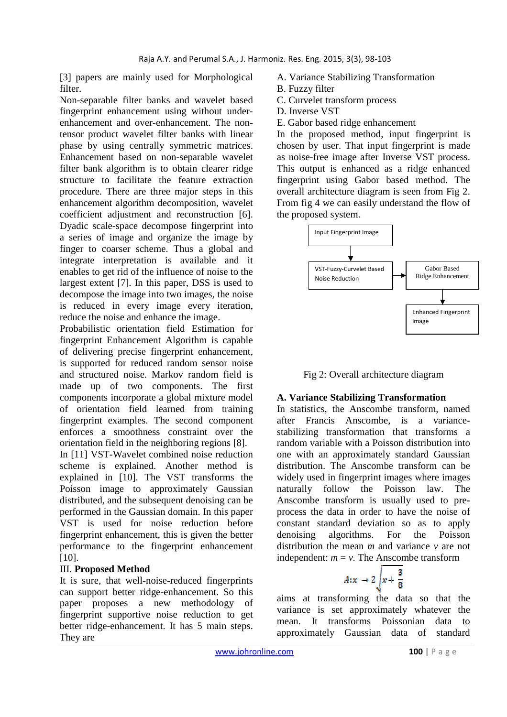[3] papers are mainly used for Morphological filter.

Non-separable filter banks and wavelet based fingerprint enhancement using without underenhancement and over-enhancement. The nontensor product wavelet filter banks with linear phase by using centrally symmetric matrices. Enhancement based on non-separable wavelet filter bank algorithm is to obtain clearer ridge structure to facilitate the feature extraction procedure. There are three major steps in this enhancement algorithm decomposition, wavelet coefficient adjustment and reconstruction [6]. Dyadic scale-space decompose fingerprint into a series of image and organize the image by finger to coarser scheme. Thus a global and integrate interpretation is available and it enables to get rid of the influence of noise to the largest extent [7]. In this paper, DSS is used to decompose the image into two images, the noise is reduced in every image every iteration, reduce the noise and enhance the image.

Probabilistic orientation field Estimation for fingerprint Enhancement Algorithm is capable of delivering precise fingerprint enhancement, is supported for reduced random sensor noise and structured noise. Markov random field is made up of two components. The first components incorporate a global mixture model of orientation field learned from training fingerprint examples. The second component enforces a smoothness constraint over the orientation field in the neighboring regions [8]. In [11] VST-Wavelet combined noise reduction scheme is explained. Another method is explained in [10]. The VST transforms the Poisson image to approximately Gaussian

distributed, and the subsequent denoising can be performed in the Gaussian domain. In this paper VST is used for noise reduction before fingerprint enhancement, this is given the better performance to the fingerprint enhancement [10].

# III. **Proposed Method**

It is sure, that well-noise-reduced fingerprints can support better ridge-enhancement. So this paper proposes a new methodology of fingerprint supportive noise reduction to get better ridge-enhancement. It has 5 main steps. They are

A. Variance Stabilizing Transformation

- B. Fuzzy filter
- C. Curvelet transform process
- D. Inverse VST
- E. Gabor based ridge enhancement

In the proposed method, input fingerprint is chosen by user. That input fingerprint is made as noise-free image after Inverse VST process. This output is enhanced as a ridge enhanced fingerprint using Gabor based method. The overall architecture diagram is seen from Fig 2. From fig 4 we can easily understand the flow of the proposed system.



Fig 2: Overall architecture diagram

# **A. Variance Stabilizing Transformation**

In statistics, the Anscombe transform, named after Francis Anscombe, is a variancestabilizing transformation that transforms a random variable with a Poisson distribution into one with an approximately standard Gaussian distribution. The Anscombe transform can be widely used in fingerprint images where images naturally follow the Poisson law. The Anscombe transform is usually used to preprocess the data in order to have the noise of constant standard deviation so as to apply denoising algorithms. For the Poisson distribution the mean *m* and variance *v* are not independent:  $m = v$ . The Anscombe transform

$$
A:x \to 2\sqrt{x+\frac{3}{8}}
$$

aims at transforming the data so that the variance is set approximately whatever the mean. It transforms Poissonian data to approximately Gaussian data of standard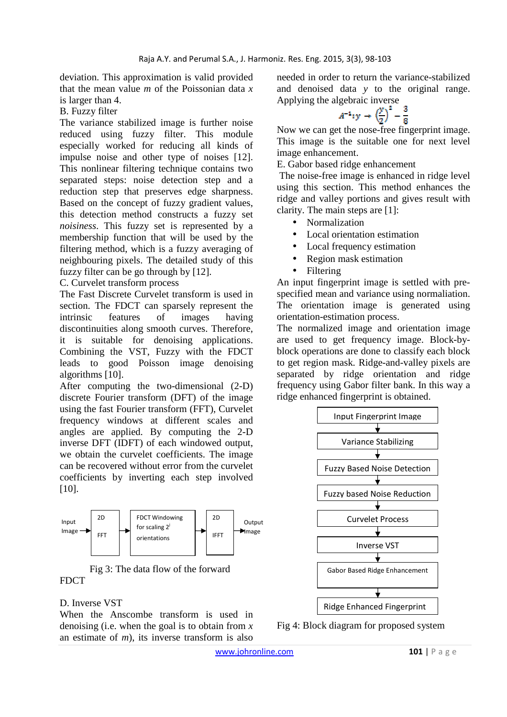deviation. This approximation is valid provided that the mean value *m* of the Poissonian data *x* is larger than 4.

B. Fuzzy filter

The variance stabilized image is further noise reduced using fuzzy filter. This module especially worked for reducing all kinds of impulse noise and other type of noises [12]. This nonlinear filtering technique contains two separated steps: noise detection step and a reduction step that preserves edge sharpness. Based on the concept of fuzzy gradient values, this detection method constructs a fuzzy set *noisiness*. This fuzzy set is represented by a membership function that will be used by the filtering method, which is a fuzzy averaging of neighbouring pixels. The detailed study of this fuzzy filter can be go through by [12].

C. Curvelet transform process

The Fast Discrete Curvelet transform is used in section. The FDCT can sparsely represent the intrinsic features of images having discontinuities along smooth curves. Therefore, it is suitable for denoising applications. Combining the VST, Fuzzy with the FDCT leads to good Poisson image denoising algorithms [10].

After computing the two-dimensional (2-D) discrete Fourier transform (DFT) of the image using the fast Fourier transform (FFT), Curvelet frequency windows at different scales and angles are applied. By computing the 2-D inverse DFT (IDFT) of each windowed output, we obtain the curvelet coefficients. The image can be recovered without error from the curvelet coefficients by inverting each step involved [10].



Fig 3: The data flow of the forward FDCT

# D. Inverse VST

When the Anscombe transform is used in denoising (i.e. when the goal is to obtain from *x* an estimate of *m*), its inverse transform is also needed in order to return the variance-stabilized and denoised data *y* to the original range. Applying the algebraic inverse

$$
A^{-1}: y \rightarrow \left(\frac{y}{2}\right)^2 - \frac{3}{8}
$$

Now we can get the nose-free fingerprint image. This image is the suitable one for next level image enhancement.

E. Gabor based ridge enhancement

 The noise-free image is enhanced in ridge level using this section. This method enhances the ridge and valley portions and gives result with clarity. The main steps are [1]:

- Normalization
- Local orientation estimation
- Local frequency estimation
- Region mask estimation
- Filtering

An input fingerprint image is settled with prespecified mean and variance using normaliation. The orientation image is generated using orientation-estimation process.

The normalized image and orientation image are used to get frequency image. Block-byblock operations are done to classify each block to get region mask. Ridge-and-valley pixels are separated by ridge orientation and ridge frequency using Gabor filter bank. In this way a ridge enhanced fingerprint is obtained.



Fig 4: Block diagram for proposed system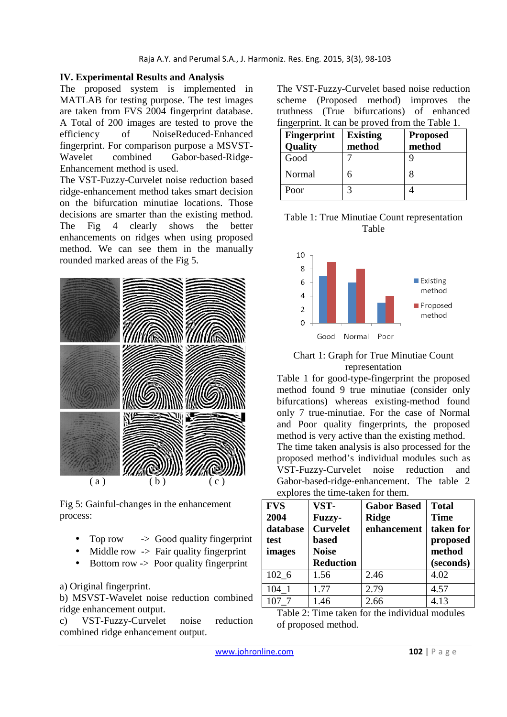#### **IV. Experimental Results and Analysis**

The proposed system is implemented in MATLAB for testing purpose. The test images are taken from FVS 2004 fingerprint database. A Total of 200 images are tested to prove the efficiency of NoiseReduced-Enhanced fingerprint. For comparison purpose a MSVST-Wavelet combined Gabor-based-Ridge-Enhancement method is used.

The VST-Fuzzy-Curvelet noise reduction based ridge-enhancement method takes smart decision on the bifurcation minutiae locations. Those decisions are smarter than the existing method. The Fig 4 clearly shows the better enhancements on ridges when using proposed method. We can see them in the manually rounded marked areas of the Fig 5.



Fig 5: Gainful-changes in the enhancement process:

- Top row  $\rightarrow$  Good quality fingerprint
- Middle row  $\rightarrow$  Fair quality fingerprint
- Bottom row -> Poor quality fingerprint

a) Original fingerprint.

b) MSVST-Wavelet noise reduction combined ridge enhancement output.

c) VST-Fuzzy-Curvelet noise reduction combined ridge enhancement output.

The VST-Fuzzy-Curvelet based noise reduction scheme (Proposed method) improves the truthness (True bifurcations) of enhanced fingerprint. It can be proved from the Table 1.

| <b>Fingerprint</b><br>Quality | <b>Existing</b><br>method | <b>Proposed</b><br>method |
|-------------------------------|---------------------------|---------------------------|
| Good                          |                           |                           |
| Normal                        |                           |                           |
| Poor                          |                           |                           |

#### Table 1: True Minutiae Count representation Table



#### Chart 1: Graph for True Minutiae Count representation

Table 1 for good-type-fingerprint the proposed method found 9 true minutiae (consider only bifurcations) whereas existing-method found only 7 true-minutiae. For the case of Normal and Poor quality fingerprints, the proposed method is very active than the existing method. The time taken analysis is also processed for the proposed method's individual modules such as VST-Fuzzy-Curvelet noise reduction and Gabor-based-ridge-enhancement. The table 2 explores the time-taken for them.

| <b>FVS</b><br>2004<br>database<br>test<br>images | VST-<br><b>Fuzzy-</b><br><b>Curvelet</b><br><b>based</b><br><b>Noise</b><br><b>Reduction</b> | <b>Gabor Based</b><br><b>Ridge</b><br>enhancement | <b>Total</b><br><b>Time</b><br>taken for<br>proposed<br>method<br>(seconds) |
|--------------------------------------------------|----------------------------------------------------------------------------------------------|---------------------------------------------------|-----------------------------------------------------------------------------|
| 102 6                                            | 1.56                                                                                         | 2.46                                              | 4.02                                                                        |
| 104 1                                            | 1.77                                                                                         | 2.79                                              | 4.57                                                                        |
| 107 7                                            | 1.46                                                                                         | 2.66                                              | 4.13                                                                        |

| Table 2: Time taken for the individual modules |
|------------------------------------------------|
| of proposed method.                            |